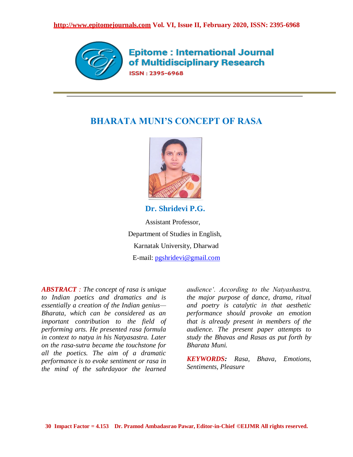

**Epitome: International Journal** of Multidisciplinary Research ISSN: 2395-6968

# **BHARATA MUNI'S CONCEPT OF RASA**



**Dr. Shridevi P.G.**

Assistant Professor, Department of Studies in English, Karnatak University, Dharwad E-mail: [pgshridevi@gmail.com](mailto:pgshridevi@gmail.com) 

*ABSTRACT : The concept of rasa is unique to Indian poetics and dramatics and is essentially a creation of the Indian genius— Bharata, which can be considered as an important contribution to the field of performing arts. He presented rasa formula in context to natya in his Natyasastra. Later on the rasa-sutra became the touchstone for all the poetics. The aim of a dramatic performance is to evoke sentiment or rasa in the mind of the sahrdayaor the learned* 

*audience'. According to the Natyashastra, the major purpose of dance, drama, ritual and poetry is catalytic in that aesthetic performance should provoke an emotion that is already present in members of the audience. The present paper attempts to study the Bhavas and Rasas as put forth by Bharata Muni.*

*KEYWORDS: Rasa, Bhava, Emotions, Sentiments, Pleasure*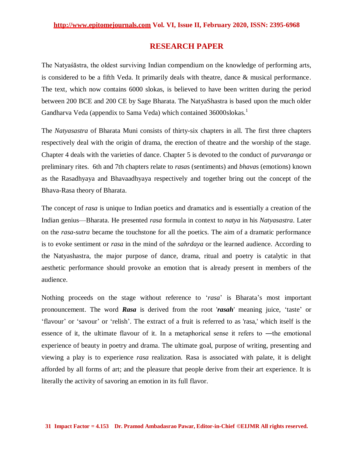# **RESEARCH PAPER**

The Natyaśāstra, the oldest surviving Indian compendium on the knowledge of performing arts, is considered to be a fifth Veda. It primarily deals with theatre, dance & musical performance. The text, which now contains 6000 slokas, is believed to have been written during the period between 200 BCE and 200 CE by Sage Bharata. The NatyaShastra is based upon the much older Gandharva Veda (appendix to Sama Veda) which contained 36000slokas.<sup>1</sup>

The *Natyasastra* of Bharata Muni consists of thirty-six chapters in all. The first three chapters respectively deal with the origin of drama, the erection of theatre and the worship of the stage. Chapter 4 deals with the varieties of dance. Chapter 5 is devoted to the conduct of *purvaranga* or preliminary rites. 6th and 7th chapters relate to *rasa*s (sentiments) and *bhava*s (emotions) known as the Rasadhyaya and Bhavaadhyaya respectively and together bring out the concept of the Bhava-Rasa theory of Bharata.

The concept of *rasa* is unique to Indian poetics and dramatics and is essentially a creation of the Indian genius—Bharata. He presented *rasa* formula in context to *natya* in his *Natyasastra*. Later on the *rasa*-*sutra* became the touchstone for all the poetics. The aim of a dramatic performance is to evoke sentiment or *rasa* in the mind of the *sahrdaya* or the learned audience. According to the Natyashastra, the major purpose of dance, drama, ritual and poetry is catalytic in that aesthetic performance should provoke an emotion that is already present in members of the audience.

Nothing proceeds on the stage without reference to *'rasa'* is Bharata's most important pronouncement. The word **Rasa** is derived from the root 'rasah' meaning juice, 'taste' or ‗flavour' or ‗savour' or ‗relish'. The extract of a fruit is referred to as 'rasa,' which itself is the essence of it, the ultimate flavour of it. In a metaphorical sense it refers to —the emotional experience of beauty in poetry and drama. The ultimate goal, purpose of writing, presenting and viewing a play is to experience *rasa* realization. Rasa is associated with palate, it is delight afforded by all forms of art; and the pleasure that people derive from their art experience. It is literally the activity of savoring an emotion in its full flavor.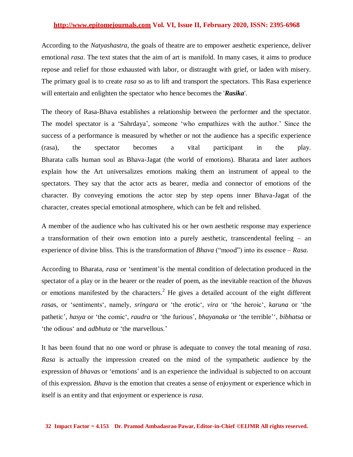According to the *Natyashastra*, the goals of theatre are to empower aesthetic experience, deliver emotional *rasa*. The text states that the aim of art is manifold. In many cases, it aims to produce repose and relief for those exhausted with labor, or distraught with grief, or laden with misery. The primary goal is to create *rasa* so as to lift and transport the spectators. This Rasa experience will entertain and enlighten the spectator who hence becomes the '*Rasika*'.

The theory of Rasa-Bhava establishes a relationship between the performer and the spectator. The model spectator is a 'Sahrdaya', someone 'who empathizes with the author.' Since the success of a performance is measured by whether or not the audience has a specific experience (rasa), the spectator becomes a vital participant in the play. Bharata calls human soul as Bhava-Jagat (the world of emotions). Bharata and later authors explain how the Art universalizes emotions making them an instrument of appeal to the spectators. They say that the actor acts as bearer, media and connector of emotions of the character. By conveying emotions the actor step by step opens inner Bhava-Jagat of the character, creates special emotional atmosphere, which can be felt and relished.

A member of the audience who has cultivated his or her own aesthetic response may experience a transformation of their own emotion into a purely aesthetic, transcendental feeling – an experience of divine bliss. This is the transformation of *Bhava* ("mood") into its essence – *Rasa*.

According to Bharata, *rasa* or 'sentiment' is the mental condition of delectation produced in the spectator of a play or in the hearer or the reader of poem, as the inevitable reaction of the *bhava*s or emotions manifested by the characters.<sup>2</sup> He gives a detailed account of the eight different *rasa*s, or ‗sentiments‗, namely, *sringara* or ‗the erotic‗, *vira* or ‗the heroic‗, *karuna* or ‗the pathetic', *hasya* or 'the comic', *raudra* or 'the furious', *bhayanaka* or 'the terrible'', *bibhatsa* or *'the odious' and <i>adbhuta* or 'the marvellous.'

It has been found that no one word or phrase is adequate to convey the total meaning of *rasa*. *Rasa* is actually the impression created on the mind of the sympathetic audience by the expression of *bhavas* or 'emotions' and is an experience the individual is subjected to on account of this expression. *Bhava* is the emotion that creates a sense of enjoyment or experience which in itself is an entity and that enjoyment or experience is *rasa*.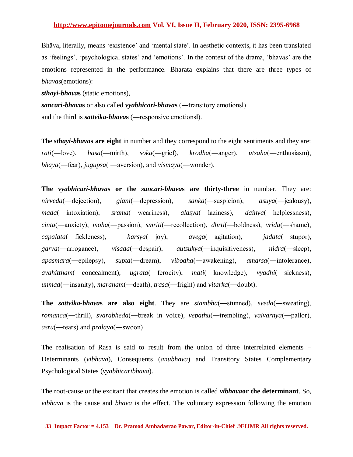Bhāva, literally, means 'existence' and 'mental state'. In aesthetic contexts, it has been translated as 'feelings', 'psychological states' and 'emotions'. In the context of the drama, 'bhavas' are the emotions represented in the performance. Bharata explains that there are three types of *bhava*s(emotions):

*sthayi-bhava***s** (static emotions),

*sancari-bhava***s** or also called *vyabhicari-bhava***s** (―transitory emotions‖) and the third is *sattvika-bhava***s** (―responsive emotions‖).

The *sthayi-bhava***s are eight** in number and they correspond to the eight sentiments and they are: *rati*(―love), *hasa*(―mirth), *soka*(―grief), *krodha*(―anger), *utsaha*(―enthusiasm), *bhaya*(―fear), *jugupsa*( ―aversion), and *vismaya*(―wonder).

**The** *vyabhicari-bhava***s or the** *sancari-bhava***s are thirty-three** in number. They are: *nirveda*(―dejection), *glani*(―depression), *sanka*(―suspicion), *asuya*(―jealousy), *mada*(―intoxiation), *srama*(―weariness), *alasya*(―laziness), *dainya*(―helplessness), *cinta*(―anxiety), *moha*(―passion), *smriti*(―recollection), *dhrti*(―boldness), *vrida*(―shame), *capalata*(―fickleness), *harsya*(―joy), *avega*(―agitation), *jadata*(―stupor), *garva*(―arrogance), *visada*(―despair), *autsukya*(―inquisitiveness), *nidra*(―sleep), *apasmara*(―epilepsy), *supta*(―dream), *vibodha*(―awakening), *amarsa*(―intolerance), *avahittham*(―concealment), *ugrata*(―ferocity), *mati*(―knowledge), *vyadhi*(―sickness), *unmad*(―insanity), *maranam*(―death), *trasa*(―fright) and *vitarka*(―doubt).

**The** *sattvika-bhava***s are also eight**. They are *stambha*(―stunned), *sveda*(―sweating), *romanca*(―thrill), *svarabheda*(―break in voice), *vepathu*(―trembling), *vaivarnya*(―pallor), *asru*(―tears) and *pralaya*(―swoon)

The realisation of Rasa is said to result from the union of three interrelated elements – Determinants (*vibhava*), Consequents (*anubhava*) and Transitory States Complementary Psychological States (*vyabhicaribhava*).

The root-cause or the excitant that creates the emotion is called *vibhava***or the determinant**. So, *vibhava* is the cause and *bhava* is the effect. The voluntary expression following the emotion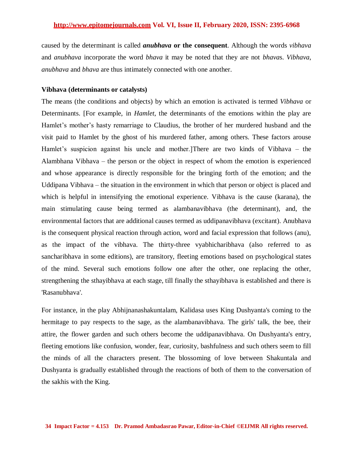caused by the determinant is called *anubhava* **or the consequent**. Although the words *vibhava* and *anubhava* incorporate the word *bhava* it may be noted that they are not *bhava*s. *Vibhava*, *anubhava* and *bhava* are thus intimately connected with one another.

#### **Vibhava (determinants or catalysts)**

The means (the conditions and objects) by which an emotion is activated is termed *Vibhava* or Determinants. [For example, in *Hamlet*, the determinants of the emotions within the play are Hamlet's mother's hasty remarriage to Claudius, the brother of her murdered husband and the visit paid to Hamlet by the ghost of his murdered father, among others. These factors arouse Hamlet's suspicion against his uncle and mother.]There are two kinds of Vibhava – the Alambhana Vibhava – the person or the object in respect of whom the emotion is experienced and whose appearance is directly responsible for the bringing forth of the emotion; and the Uddipana Vibhava – the situation in the environment in which that person or object is placed and which is helpful in intensifying the emotional experience. Vibhava is the cause (karana), the main stimulating cause being termed as alambanavibhava (the determinant), and, the environmental factors that are additional causes termed as uddipanavibhava (excitant). Anubhava is the consequent physical reaction through action, word and facial expression that follows (anu), as the impact of the vibhava. The thirty-three vyabhicharibhava (also referred to as sancharibhava in some editions), are transitory, fleeting emotions based on psychological states of the mind. Several such emotions follow one after the other, one replacing the other, strengthening the sthayibhava at each stage, till finally the sthayibhava is established and there is 'Rasanubhava'.

For instance, in the play Abhijnanashakuntalam, Kalidasa uses King Dushyanta's coming to the hermitage to pay respects to the sage, as the alambanavibhava. The girls' talk, the bee, their attire, the flower garden and such others become the uddipanavibhava. On Dushyanta's entry, fleeting emotions like confusion, wonder, fear, curiosity, bashfulness and such others seem to fill the minds of all the characters present. The blossoming of love between Shakuntala and Dushyanta is gradually established through the reactions of both of them to the conversation of the sakhis with the King.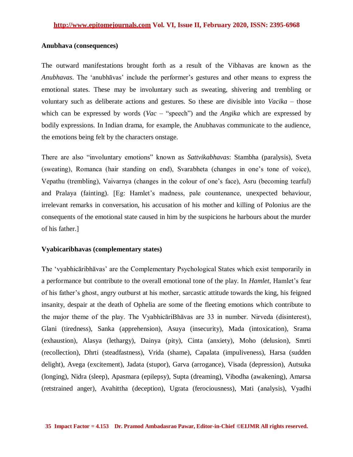# **Anubhava (consequences)**

The outward manifestations brought forth as a result of the Vibhavas are known as the *Anubhavas*. The ‗anubhāvas' include the performer's gestures and other means to express the emotional states. These may be involuntary such as sweating, shivering and trembling or voluntary such as deliberate actions and gestures. So these are divisible into *Vacika* – those which can be expressed by words ( $Vac$  – "speech") and the *Angika* which are expressed by bodily expressions. In Indian drama, for example, the Anubhavas communicate to the audience, the emotions being felt by the characters onstage.

There are also "involuntary emotions" known as *Sattvikabhavas*: Stambha (paralysis), Sveta (sweating), Romanca (hair standing on end), Svarabheta (changes in one's tone of voice), Vepathu (trembling), Vaivarnya (changes in the colour of one's face), Asru (becoming tearful) and Pralaya (fainting). [Eg: Hamlet's madness, pale countenance, unexpected behaviour, irrelevant remarks in conversation, his accusation of his mother and killing of Polonius are the consequents of the emotional state caused in him by the suspicions he harbours about the murder of his father.]

# **Vyabicaribhavas (complementary states)**

The 'vyabhicaribhavas' are the Complementary Psychological States which exist temporarily in a performance but contribute to the overall emotional tone of the play. In *Hamlet*, Hamlet's fear of his father's ghost, angry outburst at his mother, sarcastic attitude towards the king, his feigned insanity, despair at the death of Ophelia are some of the fleeting emotions which contribute to the major theme of the play. The VyabhicāriBhāvas are 33 in number. Nirveda (disinterest), Glani (tiredness), Sanka (apprehension), Asuya (insecurity), Mada (intoxication), Srama (exhaustion), Alasya (lethargy), Dainya (pity), Cinta (anxiety), Moho (delusion), Smrti (recollection), Dhrti (steadfastness), Vrida (shame), Capalata (impuliveness), Harsa (sudden delight), Avega (excitement), Jadata (stupor), Garva (arrogance), Visada (depression), Autsuka (longing), Nidra (sleep), Apasmara (epilepsy), Supta (dreaming), Vibodha (awakening), Amarsa (retstrained anger), Avahittha (deception), Ugrata (ferociousness), Mati (analysis), Vyadhi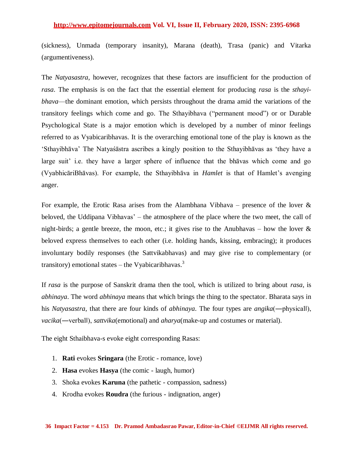(sickness), Unmada (temporary insanity), Marana (death), Trasa (panic) and Vitarka (argumentiveness).

The *Natyasastra*, however, recognizes that these factors are insufficient for the production of *rasa*. The emphasis is on the fact that the essential element for producing *rasa* is the *sthayibhava*—the dominant emotion, which persists throughout the drama amid the variations of the transitory feelings which come and go. The Sthayibhava ("permanent mood") or or Durable Psychological State is a major emotion which is developed by a number of minor feelings referred to as Vyabicaribhavas. It is the overarching emotional tone of the play is known as the ‗Sthayibhāva' The Natyaśāstra ascribes a kingly position to the Sthayibhāvas as ‗they have a large suit' i.e. they have a larger sphere of influence that the bhāvas which come and go (VyabhicāriBhāvas). For example, the Sthayibhāva in *Hamlet* is that of Hamlet's avenging anger.

For example, the Erotic Rasa arises from the Alambhana Vibhava – presence of the lover  $\&$ beloved, the Uddipana Vibhavas' – the atmosphere of the place where the two meet, the call of night-birds; a gentle breeze, the moon, etc.; it gives rise to the Anubhavas – how the lover  $\&$ beloved express themselves to each other (i.e. holding hands, kissing, embracing); it produces involuntary bodily responses (the Sattvikabhavas) and may give rise to complementary (or transitory) emotional states – the Vyabicaribhavas.<sup>3</sup>

If *rasa* is the purpose of Sanskrit drama then the tool, which is utilized to bring about *rasa*, is *abhinaya*. The word *abhinaya* means that which brings the thing to the spectator. Bharata says in his *Natyasastra*, that there are four kinds of *abhinaya*. The four types are *angika*(―physical‖), *vacika*(—verball), *sattvika*(emotional) and *aharya*(make-up and costumes or material).

The eight Sthaibhava-s evoke eight corresponding Rasas:

- 1. **Rati** evokes **Sringara** (the Erotic romance, love)
- 2. **Hasa** evokes **Hasya** (the comic laugh, humor)
- 3. Shoka evokes **Karuna** (the pathetic compassion, sadness)
- 4. Krodha evokes **Roudra** (the furious indignation, anger)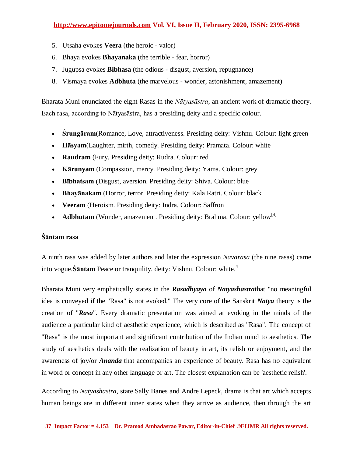- 5. Utsaha evokes **Veera** (the heroic valor)
- 6. Bhaya evokes **Bhayanaka** (the terrible fear, horror)
- 7. Jugupsa evokes **Bibhasa** (the odious disgust, aversion, repugnance)
- 8. Vismaya evokes **Adbhuta** (the marvelous wonder, astonishment, amazement)

[Bharata Muni](https://en.wikipedia.org/wiki/Bharata_Muni) enunciated the eight Rasas in the *[Nātyasāstra](https://en.wikipedia.org/wiki/N%C4%81tyas%C4%81stra)*, an ancient work of [dramatic theory.](https://en.wikipedia.org/wiki/Dramatic_theory) Each rasa, according to Nātyasāstra, has a presiding deity and a specific colour.

- **[Śrungāram](https://en.wikipedia.org/wiki/Srungara)**(Romance, Love, attractiveness. Presiding deity: [Vishnu.](https://en.wikipedia.org/wiki/Vishnu) Colour: light green
- **[Hāsyam](https://en.wikipedia.org/wiki/H%C4%81sya)**(Laughter, mirth, comedy. Presiding deity: [Pramata.](https://en.wikipedia.org/w/index.php?title=Pramata&action=edit&redlink=1) Colour: white
- **Raudram** (Fury. Presiding deity: [Rudra.](https://en.wikipedia.org/wiki/Rudra) Colour: red
- **Kārunyam** (Compassion, mercy. Presiding deity: [Yama.](https://en.wikipedia.org/wiki/Yama) Colour: grey
- **Bībhatsam** (Disgust, aversion. Presiding deity: [Shiva.](https://en.wikipedia.org/wiki/Shiva) Colour: blue
- **[Bhayānakam](https://en.wikipedia.org/wiki/Bhay%C4%81naka)** (Horror, terror. Presiding deity: [Kala Ratri.](https://en.wikipedia.org/wiki/Kala_Ratri) Colour: black
- **Veeram** (Heroism. Presiding deity: [Indra.](https://en.wikipedia.org/wiki/Indra) Colour: [Saffron](https://en.wikipedia.org/wiki/Saffron_%28color%29)
- **Adbhutam** (Wonder, amazement. Presiding deity: [Brahma.](https://en.wikipedia.org/wiki/Brahma) Colour: yellow<sup>[\[4\]](https://en.wikipedia.org/wiki/Indian_aesthetics#cite_note-4)</sup>

# **Śāntam rasa**

A ninth rasa was added by later authors and later the expression *Navarasa* (the nine rasas) came into vogue.**Śāntam** Peace or tranquility. deity: [Vishnu.](https://en.wikipedia.org/wiki/Vishnu) Colour: white. 4

Bharata Muni very emphatically states in the *Rasadhyaya* of *Natyashastra*that "no meaningful idea is conveyed if the "Rasa" is not evoked." The very core of the Sanskrit *Natya* theory is the creation of "*Rasa*". Every dramatic presentation was aimed at evoking in the minds of the audience a particular kind of aesthetic experience, which is described as "Rasa". The concept of "Rasa" is the most important and significant contribution of the Indian mind to aesthetics. The study of aesthetics deals with the realization of beauty in art, its relish or enjoyment, and the awareness of joy/or *Ananda* that accompanies an experience of beauty. Rasa has no equivalent in word or concept in any other language or art. The closest explanation can be 'aesthetic relish'.

According to *Natyashastra*, state Sally Banes and Andre Lepeck, drama is that art which accepts human beings are in different inner states when they arrive as audience, then through the art